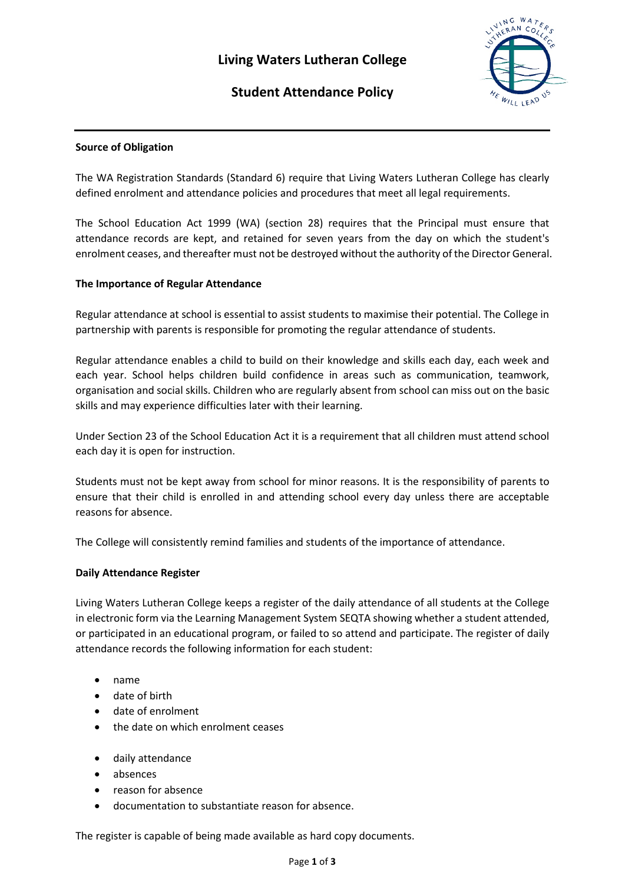# **Student Attendance Policy**



## **Source of Obligation**

The WA Registration Standards (Standard 6) require that Living Waters Lutheran College has clearly defined enrolment and attendance policies and procedures that meet all legal requirements.

The School Education Act 1999 (WA) (section 28) requires that the Principal must ensure that attendance records are kept, and retained for seven years from the day on which the student's enrolment ceases, and thereafter must not be destroyed without the authority of the Director General.

## **The Importance of Regular Attendance**

Regular attendance at school is essential to assist students to maximise their potential. The College in partnership with parents is responsible for promoting the regular attendance of students.

Regular attendance enables a child to build on their knowledge and skills each day, each week and each year. School helps children build confidence in areas such as communication, teamwork, organisation and social skills. Children who are regularly absent from school can miss out on the basic skills and may experience difficulties later with their learning.

Under Section 23 of the School Education Act it is a requirement that all children must attend school each day it is open for instruction.

Students must not be kept away from school for minor reasons. It is the responsibility of parents to ensure that their child is enrolled in and attending school every day unless there are acceptable reasons for absence.

The College will consistently remind families and students of the importance of attendance.

#### **Daily Attendance Register**

Living Waters Lutheran College keeps a register of the daily attendance of all students at the College in electronic form via the Learning Management System SEQTA showing whether a student attended, or participated in an educational program, or failed to so attend and participate. The register of daily attendance records the following information for each student:

- name
- date of birth
- date of enrolment
- the date on which enrolment ceases
- daily attendance
- absences
- reason for absence
- documentation to substantiate reason for absence.

The register is capable of being made available as hard copy documents.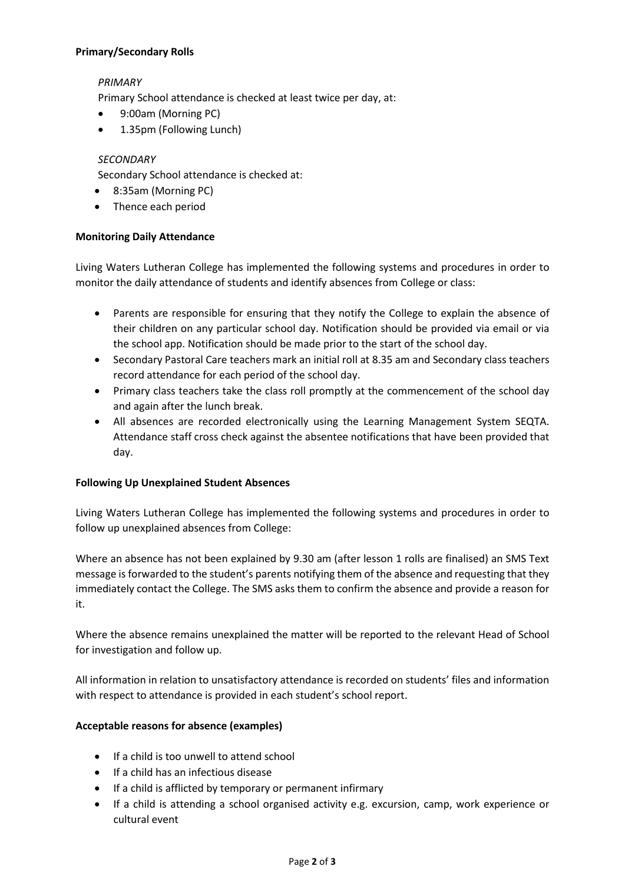## **Primary/Secondary Rolls**

# *PRIMARY*

Primary School attendance is checked at least twice per day, at:

- 9:00am (Morning PC)
- 1.35pm (Following Lunch)

# *SECONDARY*

Secondary School attendance is checked at:

- 8:35am (Morning PC)
- Thence each period

## **Monitoring Daily Attendance**

Living Waters Lutheran College has implemented the following systems and procedures in order to monitor the daily attendance of students and identify absences from College or class:

- Parents are responsible for ensuring that they notify the College to explain the absence of their children on any particular school day. Notification should be provided via email or via the school app. Notification should be made prior to the start of the school day.
- Secondary Pastoral Care teachers mark an initial roll at 8.35 am and Secondary class teachers record attendance for each period of the school day.
- Primary class teachers take the class roll promptly at the commencement of the school day and again after the lunch break.
- All absences are recorded electronically using the Learning Management System SEQTA. Attendance staff cross check against the absentee notifications that have been provided that day.

#### **Following Up Unexplained Student Absences**

Living Waters Lutheran College has implemented the following systems and procedures in order to follow up unexplained absences from College:

Where an absence has not been explained by 9.30 am (after lesson 1 rolls are finalised) an SMS Text message is forwarded to the student's parents notifying them of the absence and requesting that they immediately contact the College. The SMS asks them to confirm the absence and provide a reason for it.

Where the absence remains unexplained the matter will be reported to the relevant Head of School for investigation and follow up.

All information in relation to unsatisfactory attendance is recorded on students' files and information with respect to attendance is provided in each student's school report.

#### **Acceptable reasons for absence (examples)**

- If a child is too unwell to attend school
- If a child has an infectious disease
- If a child is afflicted by temporary or permanent infirmary
- If a child is attending a school organised activity e.g. excursion, camp, work experience or cultural event